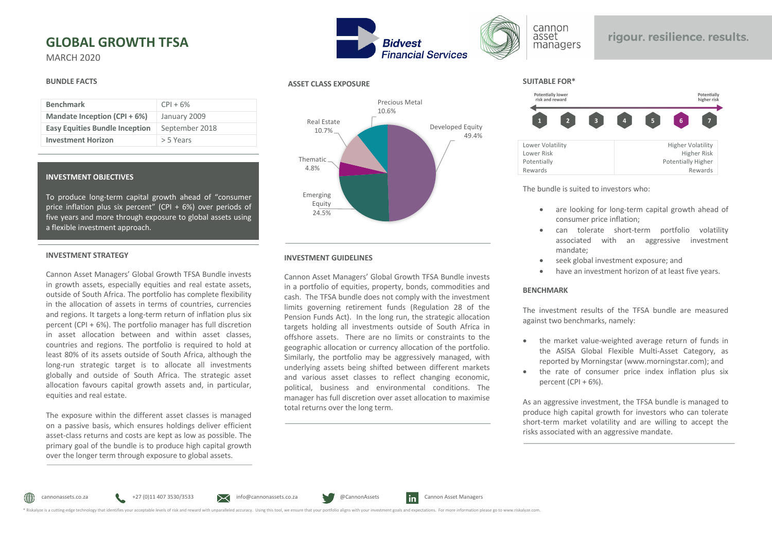# **GLOBAL GROWTH TFSA**

MARCH 2020

### **BUNDLE FACTS**

| <b>Benchmark</b>                      | $CPI + 6%$     |
|---------------------------------------|----------------|
| Mandate Inception (CPI + 6%)          | January 2009   |
| <b>Easy Equities Bundle Inception</b> | September 2018 |
| <b>Investment Horizon</b>             | > 5 Years      |

### **INVESTMENT OBJECTIVES**

To produce long-term capital growth ahead of "consumer price inflation plus six percent" (CPI + 6%) over periods of five years and more through exposure to global assets using a flexible investment approach.

### **INVESTMENT STRATEGY**

Cannon Asset Managers' Global Growth TFSA Bundle invests in growth assets, especially equities and real estate assets, outside of South Africa. The portfolio has complete flexibility in the allocation of assets in terms of countries, currencies and regions. It targets a long-term return of inflation plus six percent (CPI + 6%). The portfolio manager has full discretion in asset allocation between and within asset classes, countries and regions. The portfolio is required to hold at least 80% of its assets outside of South Africa, although the long-run strategic target is to allocate all investments globally and outside of South Africa. The strategic asset allocation favours capital growth assets and, in particular, equities and real estate.

The exposure within the different asset classes is managed on a passive basis, which ensures holdings deliver efficient asset-class returns and costs are kept as low as possible. The primary goal of the bundle is to produce high capital growth over the longer term through exposure to global assets.



## **ASSET CLASS EXPOSURE**



## **INVESTMENT GUIDELINES**

Cannon Asset Managers' Global Growth TFSA Bundle invests in a portfolio of equities, property, bonds, commodities and cash. The TFSA bundle does not comply with the investment limits governing retirement funds (Regulation 28 of the Pension Funds Act). In the long run, the strategic allocation targets holding all investments outside of South Africa in offshore assets. There are no limits or constraints to the geographic allocation or currency allocation of the portfolio. Similarly, the portfolio may be aggressively managed, with underlying assets being shifted between different markets and various asset classes to reflect changing economic, political, business and environmental conditions. The manager has full discretion over asset allocation to maximise total returns over the long term.



## rigour. resilience. results.

### **SUITABLE FOR\***



The bundle is suited to investors who:

- are looking for long-term capital growth ahead of consumer price inflation;
- can tolerate short-term portfolio volatility associated with an aggressive investment mandate;
- seek global investment exposure; and
- have an investment horizon of at least five years.

## **BENCHMARK**

The investment results of the TFSA bundle are measured against two benchmarks, namely:

- the market value-weighted average return of funds in the ASISA Global Flexible Multi-Asset Category, as reported by Morningstar (www.morningstar.com); and
- the rate of consumer price index inflation plus six percent  $(CPI + 6%)$ .

As an aggressive investment, the TFSA bundle is managed to produce high capital growth for investors who can tolerate short-term market volatility and are willing to accept the risks associated with an aggressive mandate.

∰

cannonassets.co.za +27 (0)11 407 3530/3533 info@cannonassets.co.za @CannonAssets in Cannon Asset Managers



\* Riskalyze is a cutting-edge technology that identifies your acceptable levels of risk and reward with unparalleled accuracy. Using this tool, we ensure that your portfolio aligns with your investment goals and expectatio